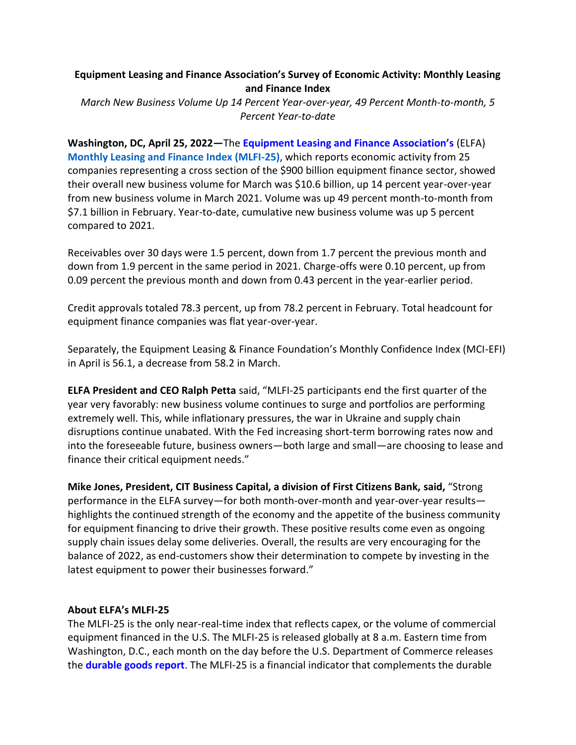# **Equipment Leasing and Finance Association's Survey of Economic Activity: Monthly Leasing and Finance Index**

*March New Business Volume Up 14 Percent Year-over-year, 49 Percent Month-to-month, 5 Percent Year-to-date*

**Washington, DC, April 25, 2022—**The **[Equipment Leasing and Finance Association's](http://www.elfaonline.org/)** (ELFA) **[Monthly Leasing and Finance Index \(MLFI-25\)](http://www.elfaonline.org/knowledge-hub/mlfi)**, which reports economic activity from 25 companies representing a cross section of the \$900 billion equipment finance sector, showed their overall new business volume for March was \$10.6 billion, up 14 percent year-over-year from new business volume in March 2021. Volume was up 49 percent month-to-month from \$7.1 billion in February. Year-to-date, cumulative new business volume was up 5 percent compared to 2021.

Receivables over 30 days were 1.5 percent, down from 1.7 percent the previous month and down from 1.9 percent in the same period in 2021. Charge-offs were 0.10 percent, up from 0.09 percent the previous month and down from 0.43 percent in the year-earlier period.

Credit approvals totaled 78.3 percent, up from 78.2 percent in February. Total headcount for equipment finance companies was flat year-over-year.

Separately, the Equipment Leasing & Finance Foundation's Monthly Confidence Index (MCI-EFI) in April is 56.1, a decrease from 58.2 in March.

**[ELFA President and CEO Ralph Petta](http://www.elfaonline.org/about/staff-contact-info/view-executive-staff-bios)** said, "MLFI-25 participants end the first quarter of the year very favorably: new business volume continues to surge and portfolios are performing extremely well. This, while inflationary pressures, the war in Ukraine and supply chain disruptions continue unabated. With the Fed increasing short-term borrowing rates now and into the foreseeable future, business owners—both large and small—are choosing to lease and finance their critical equipment needs."

**[Mike Jones, President, CIT Business Capital, a division of First Citizens Bank,](https://www.cit.com/) said,** "Strong performance in the ELFA survey—for both month-over-month and year-over-year results highlights the continued strength of the economy and the appetite of the business community for equipment financing to drive their growth. These positive results come even as ongoing supply chain issues delay some deliveries. Overall, the results are very encouraging for the balance of 2022, as end-customers show their determination to compete by investing in the latest equipment to power their businesses forward."

#### **About ELFA's MLFI-25**

The MLFI-25 is the only near-real-time index that reflects capex, or the volume of commercial equipment financed in the U.S. The MLFI-25 is released globally at 8 a.m. Eastern time from Washington, D.C., each month on the day before the U.S. Department of Commerce releases the **[durable goods report](http://www.census.gov/indicator/www/m3/)**. The MLFI-25 is a financial indicator that complements the durable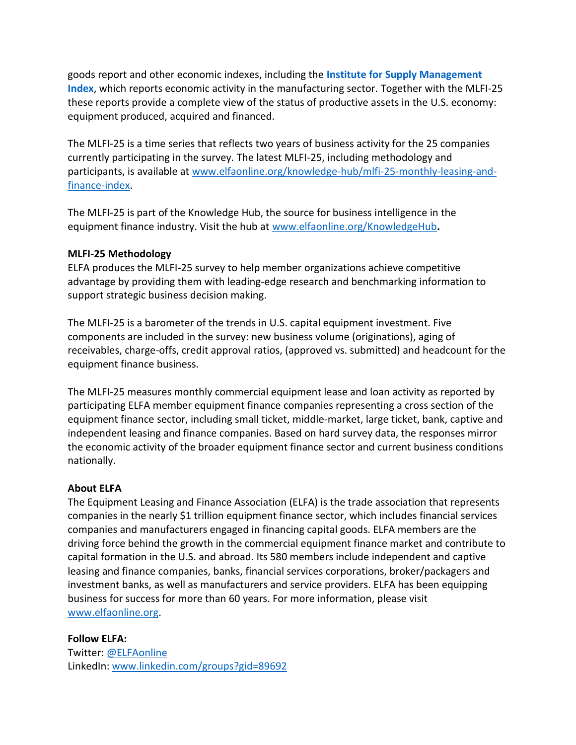goods report and other economic indexes, including the **[Institute for Supply Management](https://www.ismworld.org/supply-management-news-and-reports/reports/ism-report-on-business/)  [Index](https://www.ismworld.org/supply-management-news-and-reports/reports/ism-report-on-business/)**, which reports economic activity in the manufacturing sector. Together with the MLFI-25 these reports provide a complete view of the status of productive assets in the U.S. economy: equipment produced, acquired and financed.

The MLFI-25 is a time series that reflects two years of business activity for the 25 companies currently participating in the survey. The latest MLFI-25, including methodology and participants, is available at [www.elfaonline.org/knowledge-hub/mlfi-25-monthly-leasing-and](http://www.elfaonline.org/knowledge-hub/mlfi-25-monthly-leasing-and-finance-index)[finance-index.](http://www.elfaonline.org/knowledge-hub/mlfi-25-monthly-leasing-and-finance-index)

The MLFI-25 is part of the Knowledge Hub, the source for business intelligence in the equipment finance industry. Visit the hub at [www.elfaonline.org/KnowledgeHub](http://www.elfaonline.org/KnowledgeHub)**.** 

### **MLFI-25 Methodology**

ELFA produces the MLFI-25 survey to help member organizations achieve competitive advantage by providing them with leading-edge research and benchmarking information to support strategic business decision making.

The MLFI-25 is a barometer of the trends in U.S. capital equipment investment. Five components are included in the survey: new business volume (originations), aging of receivables, charge-offs, credit approval ratios, (approved vs. submitted) and headcount for the equipment finance business.

The MLFI-25 measures monthly commercial equipment lease and loan activity as reported by participating ELFA member equipment finance companies representing a cross section of the equipment finance sector, including small ticket, middle-market, large ticket, bank, captive and independent leasing and finance companies. Based on hard survey data, the responses mirror the economic activity of the broader equipment finance sector and current business conditions nationally.

## **About ELFA**

The Equipment Leasing and Finance Association (ELFA) is the trade association that represents companies in the nearly \$1 trillion equipment finance sector, which includes financial services companies and manufacturers engaged in financing capital goods. ELFA members are the driving force behind the growth in the commercial equipment finance market and contribute to capital formation in the U.S. and abroad. Its 580 members include independent and captive leasing and finance companies, banks, financial services corporations, broker/packagers and investment banks, as well as manufacturers and service providers. ELFA has been equipping business for success for more than 60 years. For more information, please visit [www.elfaonline.org.](http://www.elfaonline.org/)

## **Follow ELFA:**

Twitter: [@ELFAonline](https://twitter.com/ELFAOnline) LinkedIn: [www.linkedin.com/groups?gid=89692](http://www.linkedin.com/groups?gid=89692)